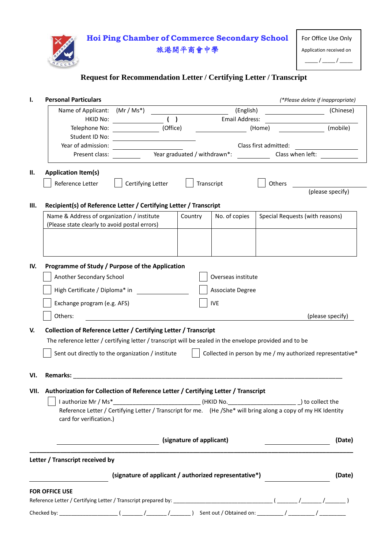

### **Request for Recommendation Letter / Certifying Letter / Transcript**

|     | <b>Personal Particulars</b>                                                                                                              |                                                                           |            | (*Please delete if inappropriate) |           |                                 |  |
|-----|------------------------------------------------------------------------------------------------------------------------------------------|---------------------------------------------------------------------------|------------|-----------------------------------|-----------|---------------------------------|--|
|     | Name of Applicant:                                                                                                                       | $(Mr/Ms^*)$                                                               |            | (English)                         | (Chinese) |                                 |  |
|     | <b>HKID No:</b>                                                                                                                          | ( )<br><b>Email Address:</b>                                              |            |                                   |           |                                 |  |
|     | Telephone No:<br>Student ID No:                                                                                                          | (Office)<br>(Home)                                                        |            |                                   |           | (mobile)                        |  |
|     | Year of admission:                                                                                                                       | Class first admitted:<br>Year graduated / withdrawn*:<br>Class when left: |            |                                   |           |                                 |  |
|     | Present class:                                                                                                                           |                                                                           |            |                                   |           |                                 |  |
| н.  | <b>Application Item(s)</b>                                                                                                               |                                                                           |            |                                   |           |                                 |  |
|     | Reference Letter<br>Certifying Letter                                                                                                    |                                                                           | Transcript |                                   | Others    |                                 |  |
|     |                                                                                                                                          |                                                                           |            |                                   |           | (please specify)                |  |
| Ш.  | Recipient(s) of Reference Letter / Certifying Letter / Transcript                                                                        |                                                                           |            |                                   |           |                                 |  |
|     | Name & Address of organization / institute                                                                                               |                                                                           | Country    | No. of copies                     |           | Special Requests (with reasons) |  |
|     | (Please state clearly to avoid postal errors)                                                                                            |                                                                           |            |                                   |           |                                 |  |
|     |                                                                                                                                          |                                                                           |            |                                   |           |                                 |  |
|     |                                                                                                                                          |                                                                           |            |                                   |           |                                 |  |
|     |                                                                                                                                          |                                                                           |            |                                   |           |                                 |  |
| IV. | Programme of Study / Purpose of the Application                                                                                          |                                                                           |            |                                   |           |                                 |  |
|     | Another Secondary School<br>Overseas institute                                                                                           |                                                                           |            |                                   |           |                                 |  |
|     | High Certificate / Diploma* in<br>Associate Degree                                                                                       |                                                                           |            |                                   |           |                                 |  |
|     | Exchange program (e.g. AFS)<br><b>IVE</b>                                                                                                |                                                                           |            |                                   |           |                                 |  |
|     | Others:<br>(please specify)                                                                                                              |                                                                           |            |                                   |           |                                 |  |
| V.  | Collection of Reference Letter / Certifying Letter / Transcript                                                                          |                                                                           |            |                                   |           |                                 |  |
|     | The reference letter / certifying letter / transcript will be sealed in the envelope provided and to be                                  |                                                                           |            |                                   |           |                                 |  |
|     | Sent out directly to the organization / institute<br>Collected in person by me / my authorized representative*                           |                                                                           |            |                                   |           |                                 |  |
|     |                                                                                                                                          |                                                                           |            |                                   |           |                                 |  |
| VI. | <b>Remarks:</b>                                                                                                                          | <u> 1989 - Johann Stoff, amerikansk politiker (d. 1989)</u>               |            |                                   |           |                                 |  |
|     | VII. Authorization for Collection of Reference Letter / Certifying Letter / Transcript                                                   |                                                                           |            |                                   |           |                                 |  |
|     |                                                                                                                                          |                                                                           |            |                                   |           |                                 |  |
|     | Reference Letter / Certifying Letter / Transcript for me. (He /She* will bring along a copy of my HK Identity<br>card for verification.) |                                                                           |            |                                   |           |                                 |  |
|     |                                                                                                                                          |                                                                           |            |                                   |           |                                 |  |
|     | (signature of applicant)                                                                                                                 |                                                                           |            |                                   | (Date)    |                                 |  |
|     | Letter / Transcript received by                                                                                                          |                                                                           |            |                                   |           |                                 |  |
|     |                                                                                                                                          | (signature of applicant / authorized representative*)                     |            |                                   |           | (Date)                          |  |
|     |                                                                                                                                          |                                                                           |            |                                   |           |                                 |  |
|     | <b>FOR OFFICE USE</b>                                                                                                                    |                                                                           |            |                                   |           |                                 |  |
|     |                                                                                                                                          |                                                                           |            |                                   |           |                                 |  |